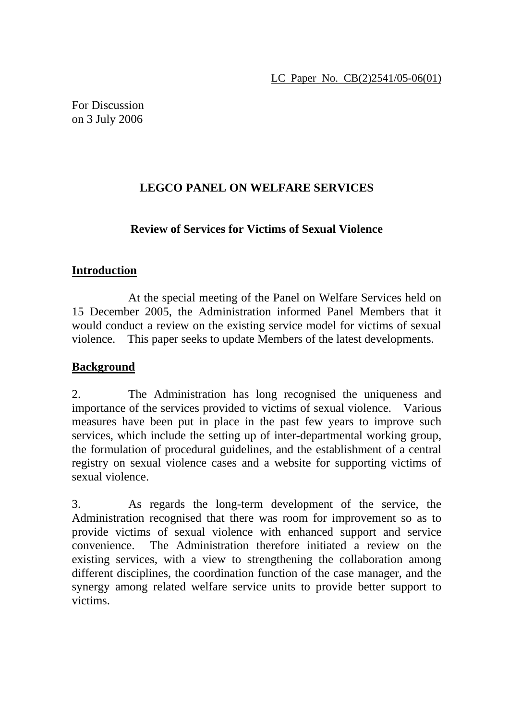For Discussion on 3 July 2006

# **LEGCO PANEL ON WELFARE SERVICES**

## **Review of Services for Victims of Sexual Violence**

### **Introduction**

 At the special meeting of the Panel on Welfare Services held on 15 December 2005, the Administration informed Panel Members that it would conduct a review on the existing service model for victims of sexual violence. This paper seeks to update Members of the latest developments.

## **Background**

2. The Administration has long recognised the uniqueness and importance of the services provided to victims of sexual violence. Various measures have been put in place in the past few years to improve such services, which include the setting up of inter-departmental working group, the formulation of procedural guidelines, and the establishment of a central registry on sexual violence cases and a website for supporting victims of sexual violence.

3. As regards the long-term development of the service, the Administration recognised that there was room for improvement so as to provide victims of sexual violence with enhanced support and service convenience. The Administration therefore initiated a review on the existing services, with a view to strengthening the collaboration among different disciplines, the coordination function of the case manager, and the synergy among related welfare service units to provide better support to victims.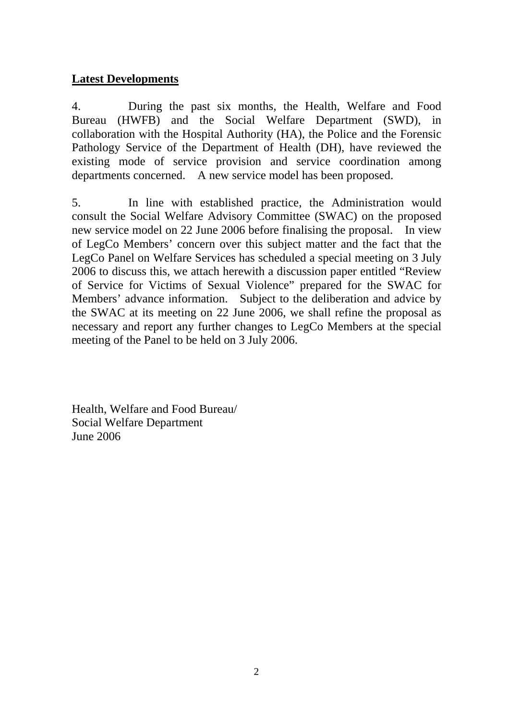### **Latest Developments**

4. During the past six months, the Health, Welfare and Food Bureau (HWFB) and the Social Welfare Department (SWD), in collaboration with the Hospital Authority (HA), the Police and the Forensic Pathology Service of the Department of Health (DH), have reviewed the existing mode of service provision and service coordination among departments concerned. A new service model has been proposed.

5. In line with established practice, the Administration would consult the Social Welfare Advisory Committee (SWAC) on the proposed new service model on 22 June 2006 before finalising the proposal. In view of LegCo Members' concern over this subject matter and the fact that the LegCo Panel on Welfare Services has scheduled a special meeting on 3 July 2006 to discuss this, we attach herewith a discussion paper entitled "Review of Service for Victims of Sexual Violence" prepared for the SWAC for Members' advance information. Subject to the deliberation and advice by the SWAC at its meeting on 22 June 2006, we shall refine the proposal as necessary and report any further changes to LegCo Members at the special meeting of the Panel to be held on 3 July 2006.

Health, Welfare and Food Bureau/ Social Welfare Department June 2006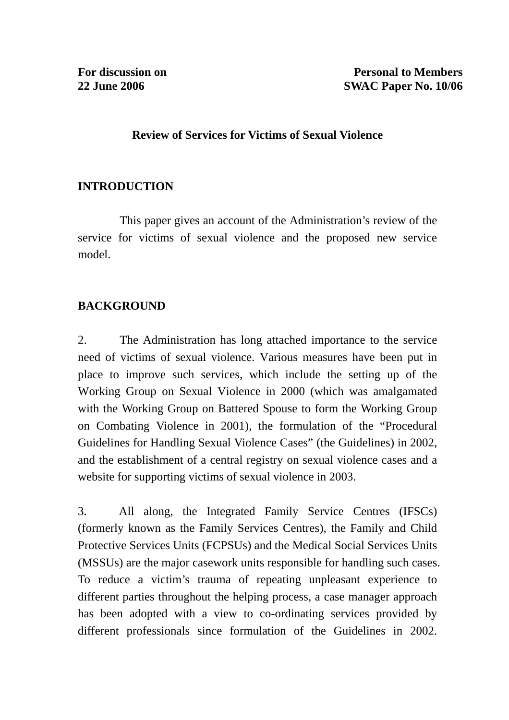### **Review of Services for Victims of Sexual Violence**

## **INTRODUCTION**

 This paper gives an account of the Administration's review of the service for victims of sexual violence and the proposed new service model.

## **BACKGROUND**

2. The Administration has long attached importance to the service need of victims of sexual violence. Various measures have been put in place to improve such services, which include the setting up of the Working Group on Sexual Violence in 2000 (which was amalgamated with the Working Group on Battered Spouse to form the Working Group on Combating Violence in 2001), the formulation of the "Procedural Guidelines for Handling Sexual Violence Cases" (the Guidelines) in 2002, and the establishment of a central registry on sexual violence cases and a website for supporting victims of sexual violence in 2003.

3. All along, the Integrated Family Service Centres (IFSCs) (formerly known as the Family Services Centres), the Family and Child Protective Services Units (FCPSUs) and the Medical Social Services Units (MSSUs) are the major casework units responsible for handling such cases. To reduce a victim's trauma of repeating unpleasant experience to different parties throughout the helping process, a case manager approach has been adopted with a view to co-ordinating services provided by different professionals since formulation of the Guidelines in 2002.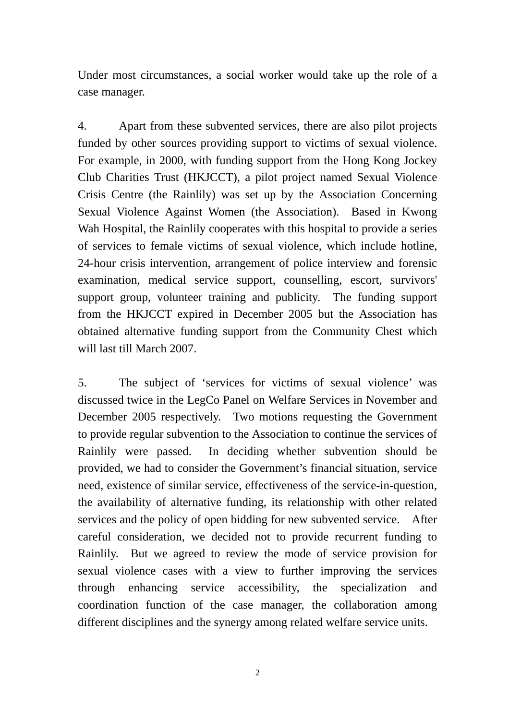Under most circumstances, a social worker would take up the role of a case manager.

4. Apart from these subvented services, there are also pilot projects funded by other sources providing support to victims of sexual violence. For example, in 2000, with funding support from the Hong Kong Jockey Club Charities Trust (HKJCCT), a pilot project named Sexual Violence Crisis Centre (the Rainlily) was set up by the Association Concerning Sexual Violence Against Women (the Association). Based in Kwong Wah Hospital, the Rainlily cooperates with this hospital to provide a series of services to female victims of sexual violence, which include hotline, 24-hour crisis intervention, arrangement of police interview and forensic examination, medical service support, counselling, escort, survivors' support group, volunteer training and publicity. The funding support from the HKJCCT expired in December 2005 but the Association has obtained alternative funding support from the Community Chest which will last till March 2007.

5. The subject of 'services for victims of sexual violence' was discussed twice in the LegCo Panel on Welfare Services in November and December 2005 respectively. Two motions requesting the Government to provide regular subvention to the Association to continue the services of Rainlily were passed. In deciding whether subvention should be provided, we had to consider the Government's financial situation, service need, existence of similar service, effectiveness of the service-in-question, the availability of alternative funding, its relationship with other related services and the policy of open bidding for new subvented service. After careful consideration, we decided not to provide recurrent funding to Rainlily. But we agreed to review the mode of service provision for sexual violence cases with a view to further improving the services through enhancing service accessibility, the specialization and coordination function of the case manager, the collaboration among different disciplines and the synergy among related welfare service units.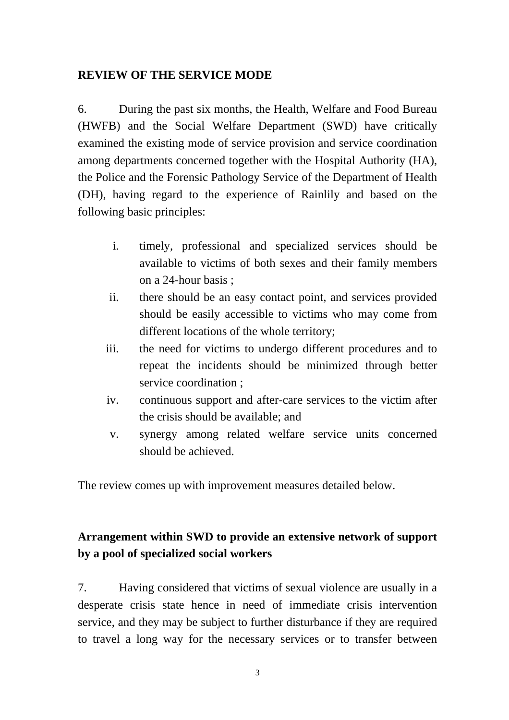### **REVIEW OF THE SERVICE MODE**

6. During the past six months, the Health, Welfare and Food Bureau (HWFB) and the Social Welfare Department (SWD) have critically examined the existing mode of service provision and service coordination among departments concerned together with the Hospital Authority (HA), the Police and the Forensic Pathology Service of the Department of Health (DH), having regard to the experience of Rainlily and based on the following basic principles:

- i. timely, professional and specialized services should be available to victims of both sexes and their family members on a 24-hour basis ;
- ii. there should be an easy contact point, and services provided should be easily accessible to victims who may come from different locations of the whole territory;
- iii. the need for victims to undergo different procedures and to repeat the incidents should be minimized through better service coordination ;
- iv. continuous support and after-care services to the victim after the crisis should be available; and
- v. synergy among related welfare service units concerned should be achieved.

The review comes up with improvement measures detailed below.

# **Arrangement within SWD to provide an extensive network of support by a pool of specialized social workers**

7. Having considered that victims of sexual violence are usually in a desperate crisis state hence in need of immediate crisis intervention service, and they may be subject to further disturbance if they are required to travel a long way for the necessary services or to transfer between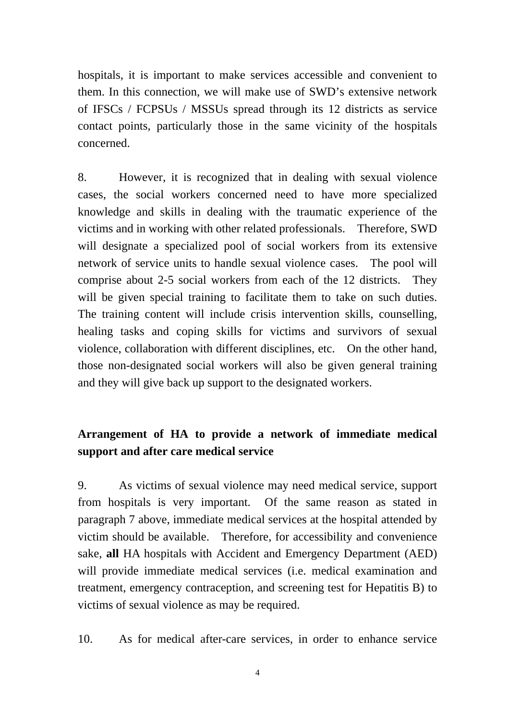hospitals, it is important to make services accessible and convenient to them. In this connection, we will make use of SWD's extensive network of IFSCs / FCPSUs / MSSUs spread through its 12 districts as service contact points, particularly those in the same vicinity of the hospitals concerned.

8. However, it is recognized that in dealing with sexual violence cases, the social workers concerned need to have more specialized knowledge and skills in dealing with the traumatic experience of the victims and in working with other related professionals. Therefore, SWD will designate a specialized pool of social workers from its extensive network of service units to handle sexual violence cases. The pool will comprise about 2-5 social workers from each of the 12 districts. They will be given special training to facilitate them to take on such duties. The training content will include crisis intervention skills, counselling, healing tasks and coping skills for victims and survivors of sexual violence, collaboration with different disciplines, etc. On the other hand, those non-designated social workers will also be given general training and they will give back up support to the designated workers.

# **Arrangement of HA to provide a network of immediate medical support and after care medical service**

9. As victims of sexual violence may need medical service, support from hospitals is very important. Of the same reason as stated in paragraph 7 above, immediate medical services at the hospital attended by victim should be available. Therefore, for accessibility and convenience sake, **all** HA hospitals with Accident and Emergency Department (AED) will provide immediate medical services (i.e. medical examination and treatment, emergency contraception, and screening test for Hepatitis B) to victims of sexual violence as may be required.

10. As for medical after-care services, in order to enhance service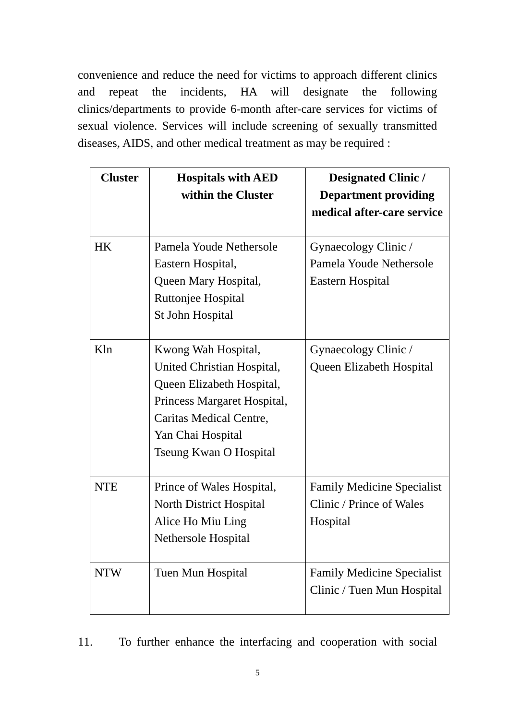convenience and reduce the need for victims to approach different clinics and repeat the incidents, HA will designate the following clinics/departments to provide 6-month after-care services for victims of sexual violence. Services will include screening of sexually transmitted diseases, AIDS, and other medical treatment as may be required :

| <b>Cluster</b> | <b>Hospitals with AED</b><br>within the Cluster                                                                                                                                                | <b>Designated Clinic /</b><br><b>Department providing</b><br>medical after-care service |
|----------------|------------------------------------------------------------------------------------------------------------------------------------------------------------------------------------------------|-----------------------------------------------------------------------------------------|
| <b>HK</b>      | Pamela Youde Nethersole<br>Eastern Hospital,<br>Queen Mary Hospital,<br>Ruttonjee Hospital<br>St John Hospital                                                                                 | Gynaecology Clinic /<br>Pamela Youde Nethersole<br>Eastern Hospital                     |
| Kln            | Kwong Wah Hospital,<br>United Christian Hospital,<br>Queen Elizabeth Hospital,<br>Princess Margaret Hospital,<br><b>Caritas Medical Centre,</b><br>Yan Chai Hospital<br>Tseung Kwan O Hospital | Gynaecology Clinic /<br>Queen Elizabeth Hospital                                        |
| <b>NTE</b>     | Prince of Wales Hospital,<br>North District Hospital<br>Alice Ho Miu Ling<br>Nethersole Hospital                                                                                               | <b>Family Medicine Specialist</b><br>Clinic / Prince of Wales<br>Hospital               |
| <b>NTW</b>     | Tuen Mun Hospital                                                                                                                                                                              | <b>Family Medicine Specialist</b><br>Clinic / Tuen Mun Hospital                         |

11. To further enhance the interfacing and cooperation with social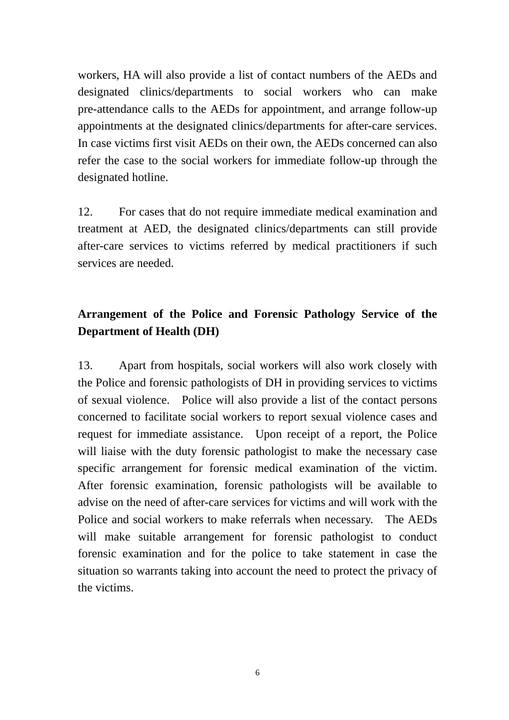workers, HA will also provide a list of contact numbers of the AEDs and designated clinics/departments to social workers who can make pre-attendance calls to the AEDs for appointment, and arrange follow-up appointments at the designated clinics/departments for after-care services. In case victims first visit AEDs on their own, the AEDs concerned can also refer the case to the social workers for immediate follow-up through the designated hotline.

12. For cases that do not require immediate medical examination and treatment at AED, the designated clinics/departments can still provide after-care services to victims referred by medical practitioners if such services are needed.

# **Arrangement of the Police and Forensic Pathology Service of the Department of Health (DH)**

13. Apart from hospitals, social workers will also work closely with the Police and forensic pathologists of DH in providing services to victims of sexual violence. Police will also provide a list of the contact persons concerned to facilitate social workers to report sexual violence cases and request for immediate assistance. Upon receipt of a report, the Police will liaise with the duty forensic pathologist to make the necessary case specific arrangement for forensic medical examination of the victim. After forensic examination, forensic pathologists will be available to advise on the need of after-care services for victims and will work with the Police and social workers to make referrals when necessary. The AEDs will make suitable arrangement for forensic pathologist to conduct forensic examination and for the police to take statement in case the situation so warrants taking into account the need to protect the privacy of the victims.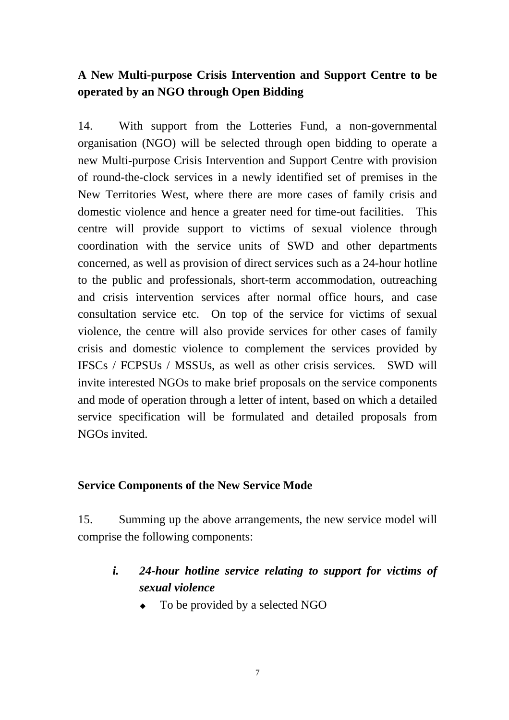# **A New Multi-purpose Crisis Intervention and Support Centre to be operated by an NGO through Open Bidding**

14. With support from the Lotteries Fund, a non-governmental organisation (NGO) will be selected through open bidding to operate a new Multi-purpose Crisis Intervention and Support Centre with provision of round-the-clock services in a newly identified set of premises in the New Territories West, where there are more cases of family crisis and domestic violence and hence a greater need for time-out facilities. This centre will provide support to victims of sexual violence through coordination with the service units of SWD and other departments concerned, as well as provision of direct services such as a 24-hour hotline to the public and professionals, short-term accommodation, outreaching and crisis intervention services after normal office hours, and case consultation service etc. On top of the service for victims of sexual violence, the centre will also provide services for other cases of family crisis and domestic violence to complement the services provided by IFSCs / FCPSUs / MSSUs, as well as other crisis services. SWD will invite interested NGOs to make brief proposals on the service components and mode of operation through a letter of intent, based on which a detailed service specification will be formulated and detailed proposals from NGOs invited.

### **Service Components of the New Service Mode**

15. Summing up the above arrangements, the new service model will comprise the following components:

# *i. 24-hour hotline service relating to support for victims of sexual violence*

To be provided by a selected NGO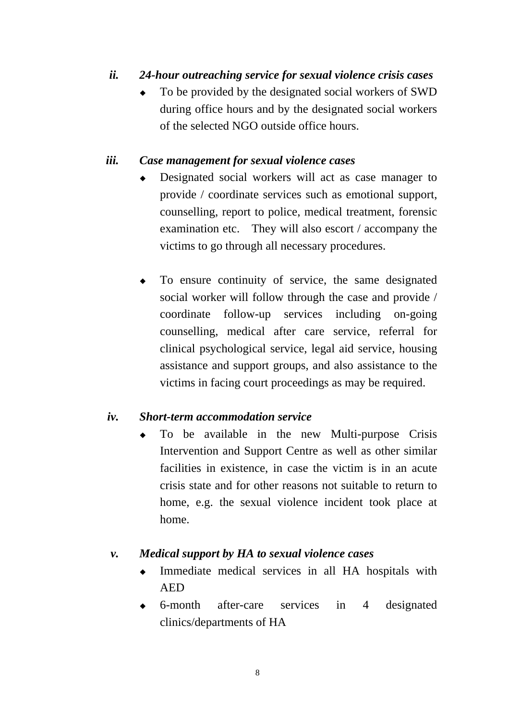## *ii. 24-hour outreaching service for sexual violence crisis cases*

! To be provided by the designated social workers of SWD during office hours and by the designated social workers of the selected NGO outside office hours.

#### *iii. Case management for sexual violence cases*

- Designated social workers will act as case manager to provide / coordinate services such as emotional support, counselling, report to police, medical treatment, forensic examination etc. They will also escort / accompany the victims to go through all necessary procedures.
- ! To ensure continuity of service, the same designated social worker will follow through the case and provide / coordinate follow-up services including on-going counselling, medical after care service, referral for clinical psychological service, legal aid service, housing assistance and support groups, and also assistance to the victims in facing court proceedings as may be required.

#### *iv. Short-term accommodation service*

! To be available in the new Multi-purpose Crisis Intervention and Support Centre as well as other similar facilities in existence, in case the victim is in an acute crisis state and for other reasons not suitable to return to home, e.g. the sexual violence incident took place at home.

#### *v. Medical support by HA to sexual violence cases*

- Immediate medical services in all HA hospitals with AED
- ! 6-month after-care services in 4 designated clinics/departments of HA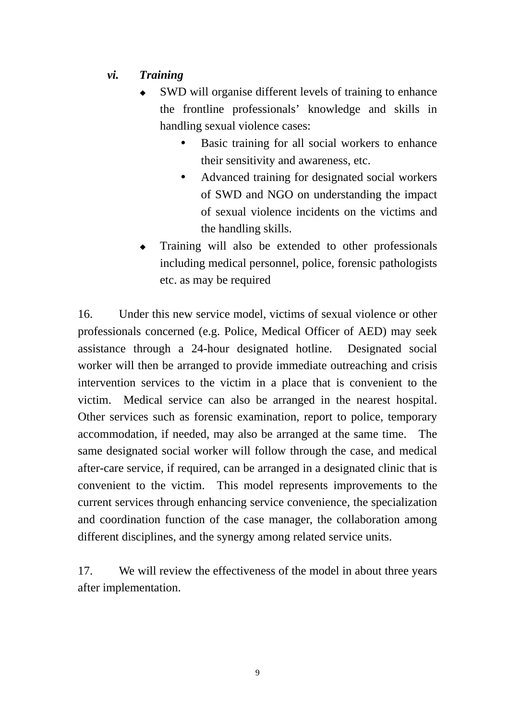## *vi. Training*

- SWD will organise different levels of training to enhance the frontline professionals' knowledge and skills in handling sexual violence cases:
	- Basic training for all social workers to enhance their sensitivity and awareness, etc.
	- Advanced training for designated social workers of SWD and NGO on understanding the impact of sexual violence incidents on the victims and the handling skills.
- ! Training will also be extended to other professionals including medical personnel, police, forensic pathologists etc. as may be required

16. Under this new service model, victims of sexual violence or other professionals concerned (e.g. Police, Medical Officer of AED) may seek assistance through a 24-hour designated hotline. Designated social worker will then be arranged to provide immediate outreaching and crisis intervention services to the victim in a place that is convenient to the victim. Medical service can also be arranged in the nearest hospital. Other services such as forensic examination, report to police, temporary accommodation, if needed, may also be arranged at the same time. The same designated social worker will follow through the case, and medical after-care service, if required, can be arranged in a designated clinic that is convenient to the victim. This model represents improvements to the current services through enhancing service convenience, the specialization and coordination function of the case manager, the collaboration among different disciplines, and the synergy among related service units.

17. We will review the effectiveness of the model in about three years after implementation.